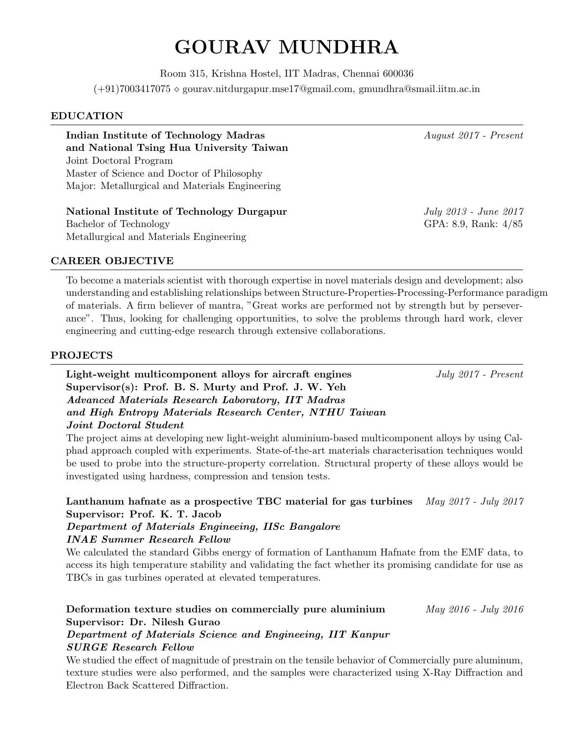# GOURAV MUNDHRA

Room 315, Krishna Hostel, IIT Madras, Chennai 600036  $(+91)7003417075 \diamond \text{gourav.nitdurgapur.mse17@gmail.com, gmundhra@smail.iitm.ac.in}$ 

#### EDUCATION

Indian Institute of Technology Madras August 2017 - Present and National Tsing Hua University Taiwan Joint Doctoral Program Master of Science and Doctor of Philosophy Major: Metallurgical and Materials Engineering

National Institute of Technology Durgapur July 2013 - June 2017 Bachelor of Technology GPA: 8.9, Rank:  $4/85$ Metallurgical and Materials Engineering

## CAREER OBJECTIVE

To become a materials scientist with thorough expertise in novel materials design and development; also understanding and establishing relationships between Structure-Properties-Processing-Performance paradigm of materials. A firm believer of mantra, "Great works are performed not by strength but by perseverance". Thus, looking for challenging opportunities, to solve the problems through hard work, clever engineering and cutting-edge research through extensive collaborations.

#### PROJECTS

Light-weight multicomponent alloys for aircraft engines July 2017 - Present Supervisor(s): Prof. B. S. Murty and Prof. J. W. Yeh Advanced Materials Research Laboratory, IIT Madras and High Entropy Materials Research Center, NTHU Taiwan Joint Doctoral Student

The project aims at developing new light-weight aluminium-based multicomponent alloys by using Calphad approach coupled with experiments. State-of-the-art materials characterisation techniques would be used to probe into the structure-property correlation. Structural property of these alloys would be investigated using hardness, compression and tension tests.

## Lanthanum hafnate as a prospective TBC material for gas turbines  $\frac{May\ 2017 - July\ 2017}{\sqrt{10}}$ Supervisor: Prof. K. T. Jacob

#### Department of Materials Engineeing, IISc Bangalore INAE Summer Research Fellow

We calculated the standard Gibbs energy of formation of Lanthanum Hafnate from the EMF data, to access its high temperature stability and validating the fact whether its promising candidate for use as TBCs in gas turbines operated at elevated temperatures.

# Deformation texture studies on commercially pure aluminium May 2016 - July 2016 Supervisor: Dr. Nilesh Gurao

## Department of Materials Science and Engineeing, IIT Kanpur SURGE Research Fellow

We studied the effect of magnitude of prestrain on the tensile behavior of Commercially pure aluminum, texture studies were also performed, and the samples were characterized using X-Ray Diffraction and Electron Back Scattered Diffraction.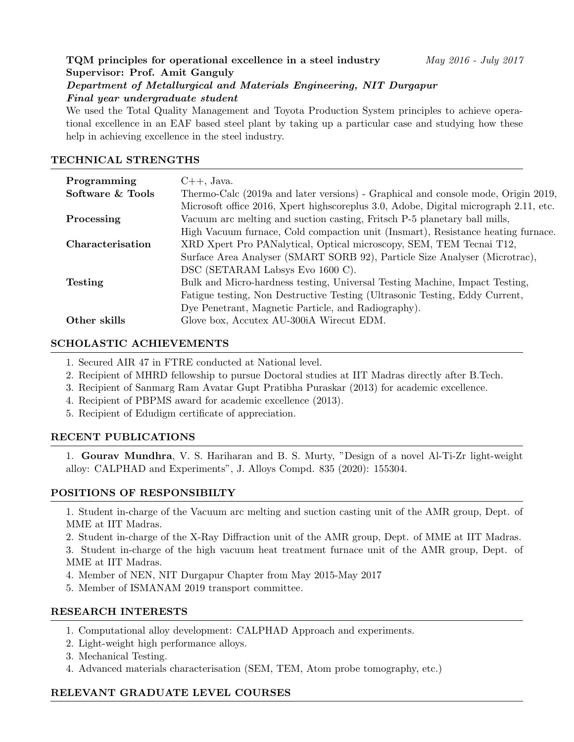# TQM principles for operational excellence in a steel industry May 2016 - July 2017 Supervisor: Prof. Amit Ganguly Department of Metallurgical and Materials Engineering, NIT Durgapur Final year undergraduate student

We used the Total Quality Management and Toyota Production System principles to achieve operational excellence in an EAF based steel plant by taking up a particular case and studying how these help in achieving excellence in the steel industry.

## TECHNICAL STRENGTHS

| Programming             | $C++$ , Java.                                                                        |
|-------------------------|--------------------------------------------------------------------------------------|
| Software & Tools        | Thermo-Calc (2019a and later versions) - Graphical and console mode, Origin 2019,    |
|                         | Microsoft office 2016, Xpert highscoreplus 3.0, Adobe, Digital micrograph 2.11, etc. |
| Processing              | Vacuum arc melting and suction casting, Fritsch P-5 planetary ball mills,            |
|                         | High Vacuum furnace, Cold compaction unit (Insmart), Resistance heating furnace.     |
| <b>Characterisation</b> | XRD Xpert Pro PANalytical, Optical microscopy, SEM, TEM Tecnai T12,                  |
|                         | Surface Area Analyser (SMART SORB 92), Particle Size Analyser (Microtrac),           |
|                         | DSC (SETARAM Labsys Evo 1600 C).                                                     |
| <b>Testing</b>          | Bulk and Micro-hardness testing, Universal Testing Machine, Impact Testing,          |
|                         | Fatigue testing, Non Destructive Testing (Ultrasonic Testing, Eddy Current,          |
|                         | Dye Penetrant, Magnetic Particle, and Radiography).                                  |
| Other skills            | Glove box, Accutex AU-300iA Wirecut EDM.                                             |

## SCHOLASTIC ACHIEVEMENTS

- 1. Secured AIR 47 in FTRE conducted at National level.
- 2. Recipient of MHRD fellowship to pursue Doctoral studies at IIT Madras directly after B.Tech.
- 3. Recipient of Sanmarg Ram Avatar Gupt Pratibha Puraskar (2013) for academic excellence.
- 4. Recipient of PBPMS award for academic excellence (2013).
- 5. Recipient of Edudigm certificate of appreciation.

# RECENT PUBLICATIONS

1. Gourav Mundhra, V. S. Hariharan and B. S. Murty, "Design of a novel Al-Ti-Zr light-weight alloy: CALPHAD and Experiments", J. Alloys Compd. 835 (2020): 155304.

# POSITIONS OF RESPONSIBILTY

1. Student in-charge of the Vacuum arc melting and suction casting unit of the AMR group, Dept. of MME at IIT Madras.

2. Student in-charge of the X-Ray Diffraction unit of the AMR group, Dept. of MME at IIT Madras.

3. Student in-charge of the high vacuum heat treatment furnace unit of the AMR group, Dept. of MME at IIT Madras.

- 4. Member of NEN, NIT Durgapur Chapter from May 2015-May 2017
- 5. Member of ISMANAM 2019 transport committee.

#### RESEARCH INTERESTS

- 1. Computational alloy development: CALPHAD Approach and experiments.
- 2. Light-weight high performance alloys.
- 3. Mechanical Testing.
- 4. Advanced materials characterisation (SEM, TEM, Atom probe tomography, etc.)

# RELEVANT GRADUATE LEVEL COURSES